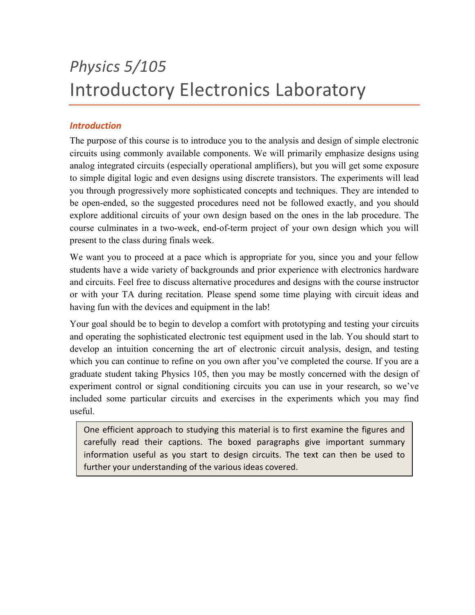# *Physics 5/105* Introductory Electronics Laboratory

## *Introduction*

The purpose of this course is to introduce you to the analysis and design of simple electronic circuits using commonly available components. We will primarily emphasize designs using analog integrated circuits (especially operational amplifiers), but you will get some exposure to simple digital logic and even designs using discrete transistors. The experiments will lead you through progressively more sophisticated concepts and techniques. They are intended to be open-ended, so the suggested procedures need not be followed exactly, and you should explore additional circuits of your own design based on the ones in the lab procedure. The course culminates in a two-week, end-of-term project of your own design which you will present to the class during finals week.

We want you to proceed at a pace which is appropriate for you, since you and your fellow students have a wide variety of backgrounds and prior experience with electronics hardware and circuits. Feel free to discuss alternative procedures and designs with the course instructor or with your TA during recitation. Please spend some time playing with circuit ideas and having fun with the devices and equipment in the lab!

Your goal should be to begin to develop a comfort with prototyping and testing your circuits and operating the sophisticated electronic test equipment used in the lab. You should start to develop an intuition concerning the art of electronic circuit analysis, design, and testing which you can continue to refine on you own after you've completed the course. If you are a graduate student taking Physics 105, then you may be mostly concerned with the design of experiment control or signal conditioning circuits you can use in your research, so we've included some particular circuits and exercises in the experiments which you may find useful.

One efficient approach to studying this material is to first examine the figures and carefully read their captions. The boxed paragraphs give important summary information useful as you start to design circuits. The text can then be used to further your understanding of the various ideas covered.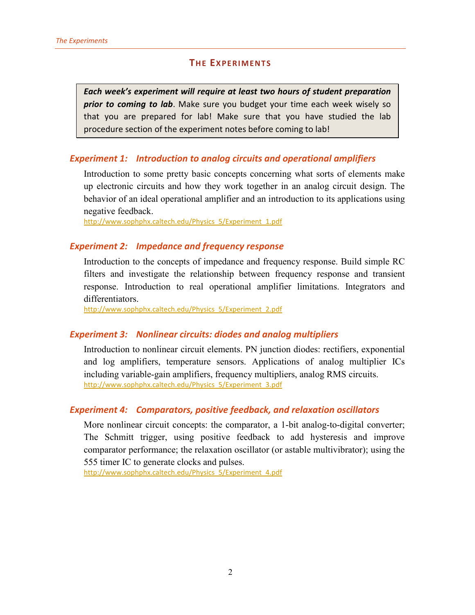## **THE EXPERIMENTS**

*Each week's experiment will require at least two hours of student preparation prior to coming to lab*. Make sure you budget your time each week wisely so that you are prepared for lab! Make sure that you have studied the lab procedure section of the experiment notes before coming to lab!

## *Experiment 1: Introduction to analog circuits and operational amplifiers*

Introduction to some pretty basic concepts concerning what sorts of elements make up electronic circuits and how they work together in an analog circuit design. The behavior of an ideal operational amplifier and an introduction to its applications using negative feedback.

[http://www.sophphx.caltech.edu/Physics\\_5/Experiment\\_1.pdf](http://www.sophphx.caltech.edu/Physics_5/Experiment_1.pdf)

### *Experiment 2: Impedance and frequency response*

Introduction to the concepts of impedance and frequency response. Build simple RC filters and investigate the relationship between frequency response and transient response. Introduction to real operational amplifier limitations. Integrators and differentiators.

[http://www.sophphx.caltech.edu/Physics\\_5/Experiment\\_2.pdf](http://www.sophphx.caltech.edu/Physics_5/Experiment_2.pdf)

## *Experiment 3: Nonlinear circuits: diodes and analog multipliers*

Introduction to nonlinear circuit elements. PN junction diodes: rectifiers, exponential and log amplifiers, temperature sensors. Applications of analog multiplier ICs including variable-gain amplifiers, frequency multipliers, analog RMS circuits. [http://www.sophphx.caltech.edu/Physics\\_5/Experiment\\_3.pdf](http://www.sophphx.caltech.edu/Physics_5/Experiment_3.pdf)

## *Experiment 4: Comparators, positive feedback, and relaxation oscillators*

More nonlinear circuit concepts: the comparator, a 1-bit analog-to-digital converter; The Schmitt trigger, using positive feedback to add hysteresis and improve comparator performance; the relaxation oscillator (or astable multivibrator); using the 555 timer IC to generate clocks and pulses.

[http://www.sophphx.caltech.edu/Physics\\_5/Experiment\\_4.pdf](http://www.sophphx.caltech.edu/Physics_5/Experiment_4.pdf)